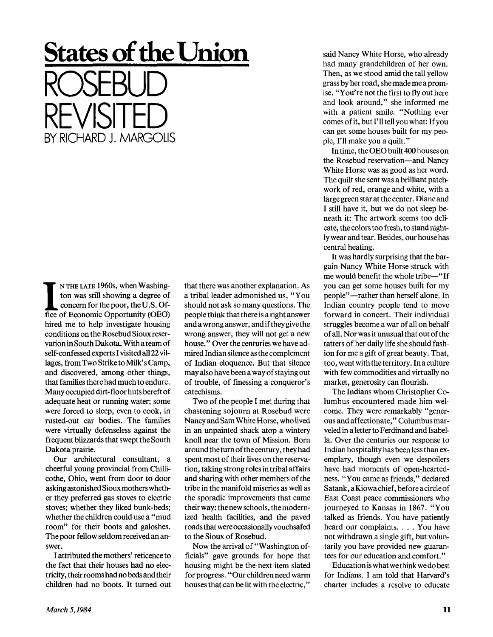## **States of the Union**  ROSEBUD REVISITED BY RICHARD J. MARGOLIS

**IF IN THE LATE 1960s, when Washington was still showing a degree of concern for the poor, the U.S. Office of Economic Opportunity (OEO)** N THE LATE 1960s, when Washington was still showing a degree of concern for the poor, the U.S. Ofhired me to help investigate housing conditions on the Rosebud Sioux reservation in South Dakota. With ateam of self-confessed experts I visited all 22 villages, from Two Strike to Milk's Camp, and discovered, among other things, that families there had much to endure. Many occupied dirt-floor huts bereft of adequate heat or running water; some were forced to sleep, even to cook, in rusted-out car bodies. The families were virtually defenseless against the frequent blizzards that swept the South Dakota prairie.

Our architectural consultant, a cheerful young provincial from Chillicothe, Ohio, went from door to door asking astonished Sioux mothers whether they preferred gas stoves to electric stoves; whether they liked bunk-beds; whether the children could use a "mud room" for their boots and galoshes. The poor fellow seldom received an answer.

I attributed the mothers' reticence to the fact that their houses had no electricity, their rooms had no beds and their children had no boots. It turned out that there was another explanation. As a tribal leader admonished us, "You should not ask so many questions. The people think that there is a right answer and a wrong answer, and if they give the wrong answer, they will not get a new house." Over the centuries we have admired Indian silence as the complement of Indian eloquence. But that silence may also have been a way of staying out of trouble, of finessing a conqueror's catechisms.

Two of the people I met during that chastening sojourn at Rosebud were Nancy and Sam White Horse, who lived in an unpainted shack atop a wintery knoll near the town of Mission. Born around the turn of the century, they had spent most of their lives on the reservation, taking strong roles in tribal affairs and sharing with other members of the tribe in the manifold miseries as well as the sporadic improvements that came their way: the new schools, the modernized health facilities, and the paved roads that were occasionally vouchsafed to the Sioux of Rosebud.

Now the arrival of "Washington officials" gave grounds for hope that housing might be the next item slated for progress. "Our children need warm houses that can be lit with the electric," said Nancy White Horse, who already had many grandchildren of her own. Then, as we stood amid the tall yellow grass by her road, she made me a promise. "You're not the first to fly out here and look around," she informed me with a patient smile. "Nothing ever comes of it, but I'll tell you what: If you can get some houses built for my people, I'll make you a quilt."

In time, the OEO built 400 houses on the Rosebud reservation—and Nancy White Horse was as good as her word. The quilt she sent was a brilliant patchwork of red, orange and white, with a large green star at the center. Diane and I still have it, but we do not sleep beneath it: The artwork seems too delicate, the colors too fresh, to stand nightly wear and tear. Besides, our house has central heating.

It was hardly surprising that the bargain Nancy White Horse struck with me would benefit the whole tribe—"If you can get some houses built for my people"—rather than herself alone. In Indian country people tend to move forward in concert. Their individual struggles become a war of all on behalf of all. Nor was it unusual that out of the tatters of her daily life she should fashion for me a gift of great beauty. That, too, went with the territory. In a culture with few commodities and virtually no market, generosity can flourish.

The Indians whom Christopher Columbus encountered made him welcome. They were remarkably "generous and affectionate," Columbus marveled in a letter to Ferdinand and Isabella. Over the centuries our response to Indian hospitality has been less than exemplary, though even we despoilers have had moments of open-heartedness. "You came as friends," declared Satank, aKiowachief, before a circle of East Coast peace commissioners who journeyed to Kansas in 1867. "You talked as friends. You have patiently heard our complaints. . . . You have not withdrawn a single gift, but voluntarily you have provided new guarantees for our education and comfort."

Education is what we think we do best for Indians. I am told that Harvard's charter includes a resolve to educate